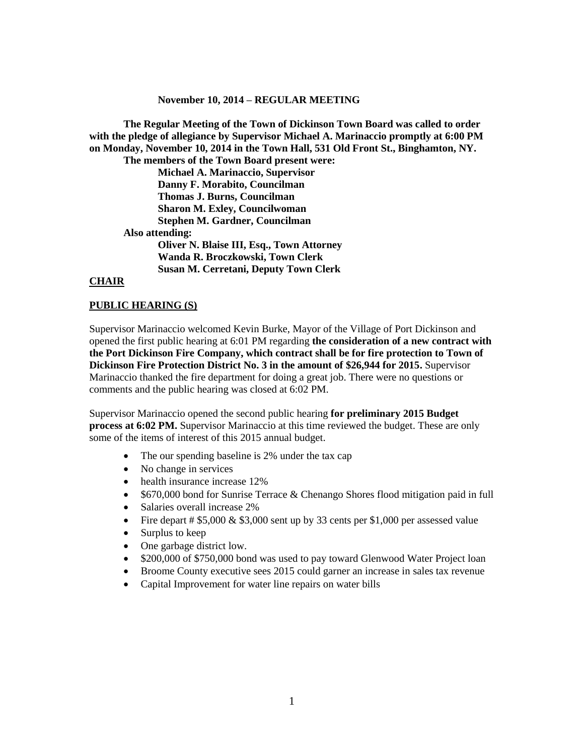#### **November 10, 2014 – REGULAR MEETING**

**The Regular Meeting of the Town of Dickinson Town Board was called to order with the pledge of allegiance by Supervisor Michael A. Marinaccio promptly at 6:00 PM on Monday, November 10, 2014 in the Town Hall, 531 Old Front St., Binghamton, NY. The members of the Town Board present were: Michael A. Marinaccio, Supervisor Danny F. Morabito, Councilman Thomas J. Burns, Councilman Sharon M. Exley, Councilwoman Stephen M. Gardner, Councilman Also attending: Oliver N. Blaise III, Esq., Town Attorney Wanda R. Broczkowski, Town Clerk Susan M. Cerretani, Deputy Town Clerk**

#### **CHAIR**

#### **PUBLIC HEARING (S)**

Supervisor Marinaccio welcomed Kevin Burke, Mayor of the Village of Port Dickinson and opened the first public hearing at 6:01 PM regarding **the consideration of a new contract with the Port Dickinson Fire Company, which contract shall be for fire protection to Town of Dickinson Fire Protection District No. 3 in the amount of \$26,944 for 2015.** Supervisor Marinaccio thanked the fire department for doing a great job. There were no questions or comments and the public hearing was closed at 6:02 PM.

Supervisor Marinaccio opened the second public hearing **for preliminary 2015 Budget process at 6:02 PM.** Supervisor Marinaccio at this time reviewed the budget. These are only some of the items of interest of this 2015 annual budget.

- The our spending baseline is 2% under the tax cap
- No change in services
- health insurance increase 12%
- \$670,000 bond for Sunrise Terrace & Chenango Shores flood mitigation paid in full
- Salaries overall increase 2%
- Fire depart  $\#$  \$5,000 & \$3,000 sent up by 33 cents per \$1,000 per assessed value
- Surplus to keep
- One garbage district low.
- \$200,000 of \$750,000 bond was used to pay toward Glenwood Water Project loan
- Broome County executive sees 2015 could garner an increase in sales tax revenue
- Capital Improvement for water line repairs on water bills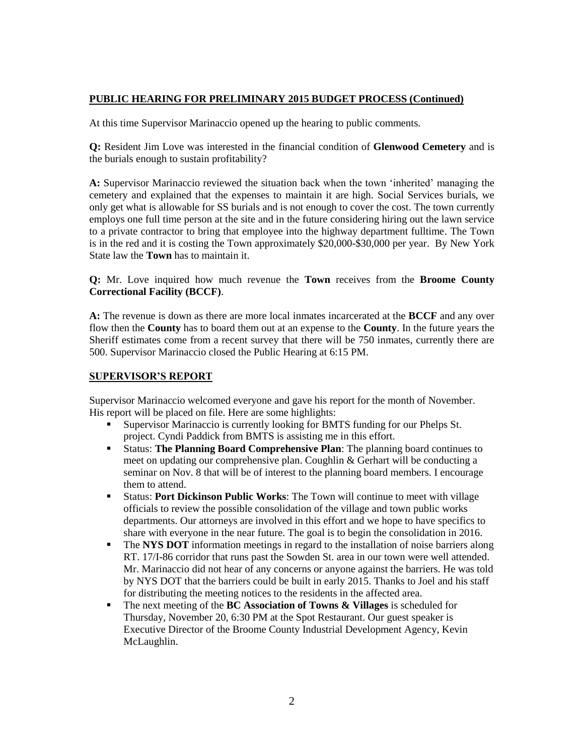## **PUBLIC HEARING FOR PRELIMINARY 2015 BUDGET PROCESS (Continued)**

At this time Supervisor Marinaccio opened up the hearing to public comments.

**Q:** Resident Jim Love was interested in the financial condition of **Glenwood Cemetery** and is the burials enough to sustain profitability?

**A:** Supervisor Marinaccio reviewed the situation back when the town 'inherited' managing the cemetery and explained that the expenses to maintain it are high. Social Services burials, we only get what is allowable for SS burials and is not enough to cover the cost. The town currently employs one full time person at the site and in the future considering hiring out the lawn service to a private contractor to bring that employee into the highway department fulltime. The Town is in the red and it is costing the Town approximately \$20,000-\$30,000 per year. By New York State law the **Town** has to maintain it.

**Q:** Mr. Love inquired how much revenue the **Town** receives from the **Broome County Correctional Facility (BCCF)**.

**A:** The revenue is down as there are more local inmates incarcerated at the **BCCF** and any over flow then the **County** has to board them out at an expense to the **County**. In the future years the Sheriff estimates come from a recent survey that there will be 750 inmates, currently there are 500. Supervisor Marinaccio closed the Public Hearing at 6:15 PM.

### **SUPERVISOR'S REPORT**

Supervisor Marinaccio welcomed everyone and gave his report for the month of November. His report will be placed on file. Here are some highlights:

- Supervisor Marinaccio is currently looking for BMTS funding for our Phelps St. project. Cyndi Paddick from BMTS is assisting me in this effort.
- Status: **The Planning Board Comprehensive Plan**: The planning board continues to meet on updating our comprehensive plan. Coughlin & Gerhart will be conducting a seminar on Nov. 8 that will be of interest to the planning board members. I encourage them to attend.
- Status: **Port Dickinson Public Works**: The Town will continue to meet with village officials to review the possible consolidation of the village and town public works departments. Our attorneys are involved in this effort and we hope to have specifics to share with everyone in the near future. The goal is to begin the consolidation in 2016.
- **The NYS DOT** information meetings in regard to the installation of noise barriers along RT. 17/I-86 corridor that runs past the Sowden St. area in our town were well attended. Mr. Marinaccio did not hear of any concerns or anyone against the barriers. He was told by NYS DOT that the barriers could be built in early 2015. Thanks to Joel and his staff for distributing the meeting notices to the residents in the affected area.
- The next meeting of the **BC Association of Towns & Villages** is scheduled for Thursday, November 20, 6:30 PM at the Spot Restaurant. Our guest speaker is Executive Director of the Broome County Industrial Development Agency, Kevin McLaughlin.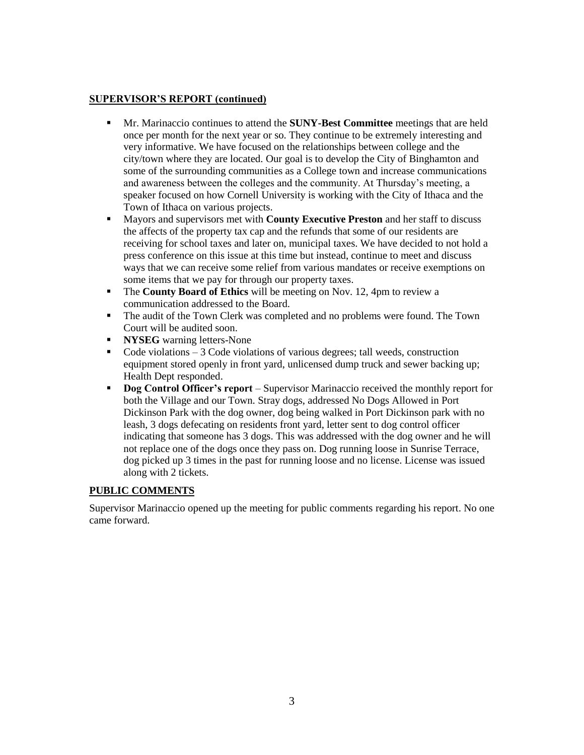## **SUPERVISOR'S REPORT (continued)**

- Mr. Marinaccio continues to attend the **SUNY-Best Committee** meetings that are held once per month for the next year or so. They continue to be extremely interesting and very informative. We have focused on the relationships between college and the city/town where they are located. Our goal is to develop the City of Binghamton and some of the surrounding communities as a College town and increase communications and awareness between the colleges and the community. At Thursday's meeting, a speaker focused on how Cornell University is working with the City of Ithaca and the Town of Ithaca on various projects.
- Mayors and supervisors met with **County Executive Preston** and her staff to discuss the affects of the property tax cap and the refunds that some of our residents are receiving for school taxes and later on, municipal taxes. We have decided to not hold a press conference on this issue at this time but instead, continue to meet and discuss ways that we can receive some relief from various mandates or receive exemptions on some items that we pay for through our property taxes.
- **The County Board of Ethics** will be meeting on Nov. 12, 4pm to review a communication addressed to the Board.
- The audit of the Town Clerk was completed and no problems were found. The Town Court will be audited soon.
- **NYSEG** warning letters-None
- Code violations  $-3$  Code violations of various degrees; tall weeds, construction equipment stored openly in front yard, unlicensed dump truck and sewer backing up; Health Dept responded.
- **Dog Control Officer's report** Supervisor Marinaccio received the monthly report for both the Village and our Town. Stray dogs, addressed No Dogs Allowed in Port Dickinson Park with the dog owner, dog being walked in Port Dickinson park with no leash, 3 dogs defecating on residents front yard, letter sent to dog control officer indicating that someone has 3 dogs. This was addressed with the dog owner and he will not replace one of the dogs once they pass on. Dog running loose in Sunrise Terrace, dog picked up 3 times in the past for running loose and no license. License was issued along with 2 tickets.

# **PUBLIC COMMENTS**

Supervisor Marinaccio opened up the meeting for public comments regarding his report. No one came forward.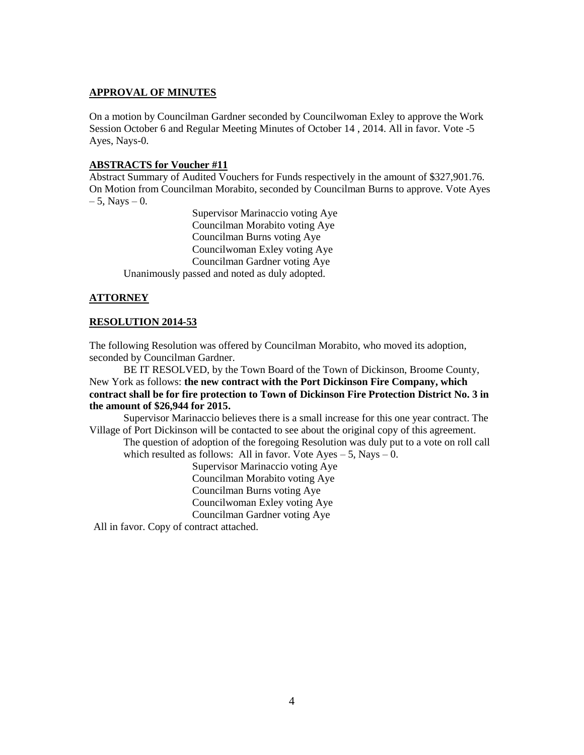### **APPROVAL OF MINUTES**

On a motion by Councilman Gardner seconded by Councilwoman Exley to approve the Work Session October 6 and Regular Meeting Minutes of October 14 , 2014. All in favor. Vote -5 Ayes, Nays-0.

### **ABSTRACTS for Voucher #11**

Abstract Summary of Audited Vouchers for Funds respectively in the amount of \$327,901.76. On Motion from Councilman Morabito, seconded by Councilman Burns to approve. Vote Ayes  $-5$ , Nays  $-0$ .

Supervisor Marinaccio voting Aye Councilman Morabito voting Aye Councilman Burns voting Aye Councilwoman Exley voting Aye Councilman Gardner voting Aye Unanimously passed and noted as duly adopted.

# **ATTORNEY**

### **RESOLUTION 2014-53**

The following Resolution was offered by Councilman Morabito, who moved its adoption, seconded by Councilman Gardner.

BE IT RESOLVED, by the Town Board of the Town of Dickinson, Broome County, New York as follows: **the new contract with the Port Dickinson Fire Company, which contract shall be for fire protection to Town of Dickinson Fire Protection District No. 3 in the amount of \$26,944 for 2015.**

Supervisor Marinaccio believes there is a small increase for this one year contract. The Village of Port Dickinson will be contacted to see about the original copy of this agreement.

The question of adoption of the foregoing Resolution was duly put to a vote on roll call which resulted as follows: All in favor. Vote  $Aves - 5$ , Nays  $- 0$ .

Supervisor Marinaccio voting Aye Councilman Morabito voting Aye Councilman Burns voting Aye Councilwoman Exley voting Aye Councilman Gardner voting Aye

All in favor. Copy of contract attached.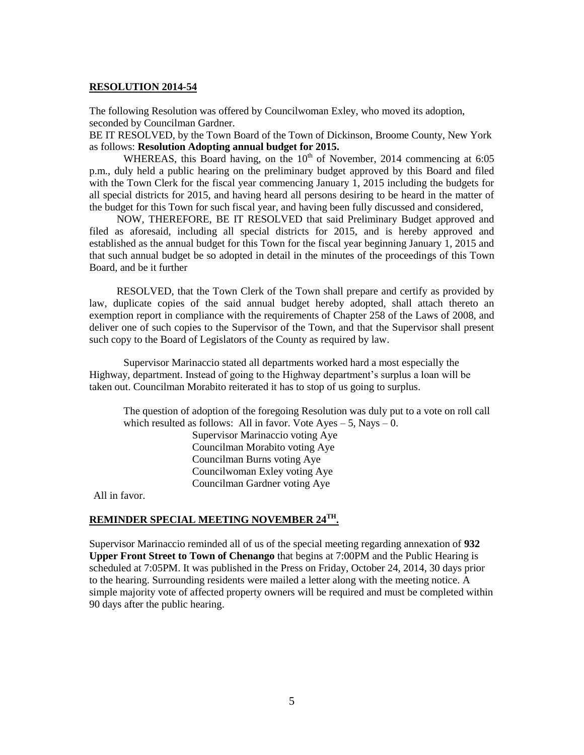#### **RESOLUTION 2014-54**

The following Resolution was offered by Councilwoman Exley, who moved its adoption, seconded by Councilman Gardner.

BE IT RESOLVED, by the Town Board of the Town of Dickinson, Broome County, New York as follows: **Resolution Adopting annual budget for 2015.**

WHEREAS, this Board having, on the  $10<sup>th</sup>$  of November, 2014 commencing at 6:05 p.m., duly held a public hearing on the preliminary budget approved by this Board and filed with the Town Clerk for the fiscal year commencing January 1, 2015 including the budgets for all special districts for 2015, and having heard all persons desiring to be heard in the matter of the budget for this Town for such fiscal year, and having been fully discussed and considered,

NOW, THEREFORE, BE IT RESOLVED that said Preliminary Budget approved and filed as aforesaid, including all special districts for 2015, and is hereby approved and established as the annual budget for this Town for the fiscal year beginning January 1, 2015 and that such annual budget be so adopted in detail in the minutes of the proceedings of this Town Board, and be it further

RESOLVED, that the Town Clerk of the Town shall prepare and certify as provided by law, duplicate copies of the said annual budget hereby adopted, shall attach thereto an exemption report in compliance with the requirements of Chapter 258 of the Laws of 2008, and deliver one of such copies to the Supervisor of the Town, and that the Supervisor shall present such copy to the Board of Legislators of the County as required by law.

Supervisor Marinaccio stated all departments worked hard a most especially the Highway, department. Instead of going to the Highway department's surplus a loan will be taken out. Councilman Morabito reiterated it has to stop of us going to surplus.

The question of adoption of the foregoing Resolution was duly put to a vote on roll call which resulted as follows: All in favor. Vote  $Ayes - 5$ , Nays  $- 0$ . Supervisor Marinaccio voting Aye Councilman Morabito voting Aye Councilman Burns voting Aye Councilwoman Exley voting Aye Councilman Gardner voting Aye

All in favor.

## **REMINDER SPECIAL MEETING NOVEMBER 24TH .**

Supervisor Marinaccio reminded all of us of the special meeting regarding annexation of **932 Upper Front Street to Town of Chenango** that begins at 7:00PM and the Public Hearing is scheduled at 7:05PM. It was published in the Press on Friday, October 24, 2014, 30 days prior to the hearing. Surrounding residents were mailed a letter along with the meeting notice. A simple majority vote of affected property owners will be required and must be completed within 90 days after the public hearing.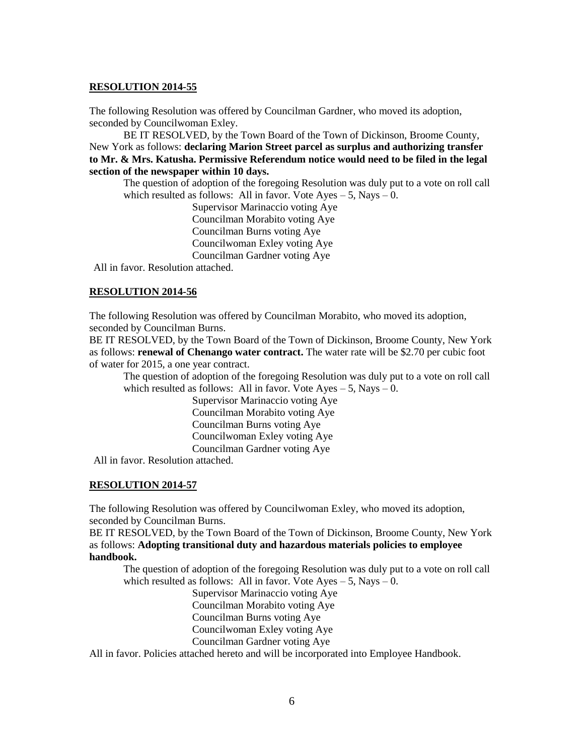### **RESOLUTION 2014-55**

The following Resolution was offered by Councilman Gardner, who moved its adoption, seconded by Councilwoman Exley.

BE IT RESOLVED, by the Town Board of the Town of Dickinson, Broome County, New York as follows: **declaring Marion Street parcel as surplus and authorizing transfer to Mr. & Mrs. Katusha. Permissive Referendum notice would need to be filed in the legal section of the newspaper within 10 days.**

The question of adoption of the foregoing Resolution was duly put to a vote on roll call which resulted as follows: All in favor. Vote  $Ayes - 5$ , Nays  $- 0$ .

Supervisor Marinaccio voting Aye Councilman Morabito voting Aye Councilman Burns voting Aye Councilwoman Exley voting Aye Councilman Gardner voting Aye

All in favor. Resolution attached.

# **RESOLUTION 2014-56**

The following Resolution was offered by Councilman Morabito, who moved its adoption, seconded by Councilman Burns.

BE IT RESOLVED, by the Town Board of the Town of Dickinson, Broome County, New York as follows: **renewal of Chenango water contract.** The water rate will be \$2.70 per cubic foot of water for 2015, a one year contract.

The question of adoption of the foregoing Resolution was duly put to a vote on roll call which resulted as follows: All in favor. Vote  $Ayes - 5$ , Nays  $- 0$ .

> Supervisor Marinaccio voting Aye Councilman Morabito voting Aye Councilman Burns voting Aye Councilwoman Exley voting Aye Councilman Gardner voting Aye

All in favor. Resolution attached.

# **RESOLUTION 2014-57**

The following Resolution was offered by Councilwoman Exley, who moved its adoption, seconded by Councilman Burns.

BE IT RESOLVED, by the Town Board of the Town of Dickinson, Broome County, New York as follows: **Adopting transitional duty and hazardous materials policies to employee handbook.** 

The question of adoption of the foregoing Resolution was duly put to a vote on roll call which resulted as follows: All in favor. Vote  $Ayes - 5$ , Nays  $- 0$ .

Supervisor Marinaccio voting Aye

Councilman Morabito voting Aye

Councilman Burns voting Aye

Councilwoman Exley voting Aye

Councilman Gardner voting Aye

All in favor. Policies attached hereto and will be incorporated into Employee Handbook.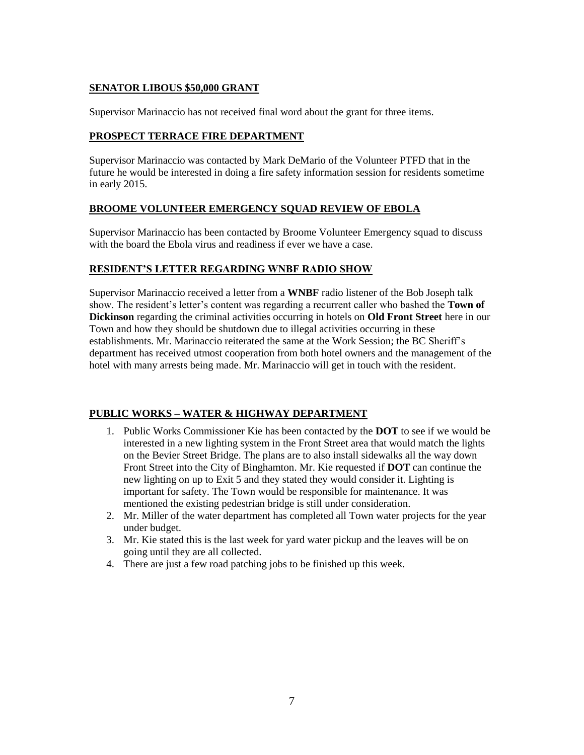### **SENATOR LIBOUS \$50,000 GRANT**

Supervisor Marinaccio has not received final word about the grant for three items.

## **PROSPECT TERRACE FIRE DEPARTMENT**

Supervisor Marinaccio was contacted by Mark DeMario of the Volunteer PTFD that in the future he would be interested in doing a fire safety information session for residents sometime in early 2015.

## **BROOME VOLUNTEER EMERGENCY SQUAD REVIEW OF EBOLA**

Supervisor Marinaccio has been contacted by Broome Volunteer Emergency squad to discuss with the board the Ebola virus and readiness if ever we have a case.

### **RESIDENT'S LETTER REGARDING WNBF RADIO SHOW**

Supervisor Marinaccio received a letter from a **WNBF** radio listener of the Bob Joseph talk show. The resident's letter's content was regarding a recurrent caller who bashed the **Town of Dickinson** regarding the criminal activities occurring in hotels on **Old Front Street** here in our Town and how they should be shutdown due to illegal activities occurring in these establishments. Mr. Marinaccio reiterated the same at the Work Session; the BC Sheriff's department has received utmost cooperation from both hotel owners and the management of the hotel with many arrests being made. Mr. Marinaccio will get in touch with the resident.

# **PUBLIC WORKS – WATER & HIGHWAY DEPARTMENT**

- 1. Public Works Commissioner Kie has been contacted by the **DOT** to see if we would be interested in a new lighting system in the Front Street area that would match the lights on the Bevier Street Bridge. The plans are to also install sidewalks all the way down Front Street into the City of Binghamton. Mr. Kie requested if **DOT** can continue the new lighting on up to Exit 5 and they stated they would consider it. Lighting is important for safety. The Town would be responsible for maintenance. It was mentioned the existing pedestrian bridge is still under consideration.
- 2. Mr. Miller of the water department has completed all Town water projects for the year under budget.
- 3. Mr. Kie stated this is the last week for yard water pickup and the leaves will be on going until they are all collected.
- 4. There are just a few road patching jobs to be finished up this week.